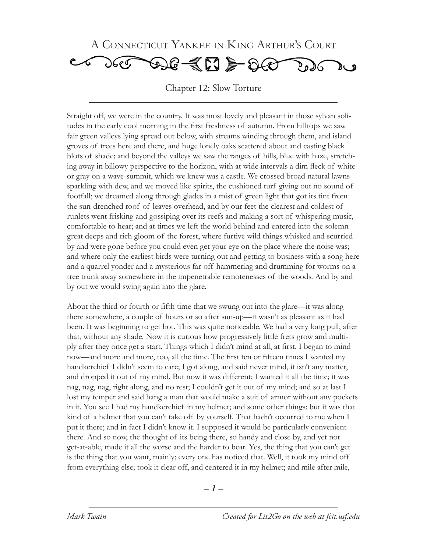

Chapter 12: Slow Torture

Straight off, we were in the country. It was most lovely and pleasant in those sylvan solitudes in the early cool morning in the first freshness of autumn. From hilltops we saw fair green valleys lying spread out below, with streams winding through them, and island groves of trees here and there, and huge lonely oaks scattered about and casting black blots of shade; and beyond the valleys we saw the ranges of hills, blue with haze, stretching away in billowy perspective to the horizon, with at wide intervals a dim fleck of white or gray on a wave-summit, which we knew was a castle. We crossed broad natural lawns sparkling with dew, and we moved like spirits, the cushioned turf giving out no sound of footfall; we dreamed along through glades in a mist of green light that got its tint from the sun-drenched roof of leaves overhead, and by our feet the clearest and coldest of runlets went frisking and gossiping over its reefs and making a sort of whispering music, comfortable to hear; and at times we left the world behind and entered into the solemn great deeps and rich gloom of the forest, where furtive wild things whisked and scurried by and were gone before you could even get your eye on the place where the noise was; and where only the earliest birds were turning out and getting to business with a song here and a quarrel yonder and a mysterious far-off hammering and drumming for worms on a tree trunk away somewhere in the impenetrable remotenesses of the woods. And by and by out we would swing again into the glare.

About the third or fourth or fifth time that we swung out into the glare—it was along there somewhere, a couple of hours or so after sun-up—it wasn't as pleasant as it had been. It was beginning to get hot. This was quite noticeable. We had a very long pull, after that, without any shade. Now it is curious how progressively little frets grow and multiply after they once get a start. Things which I didn't mind at all, at first, I began to mind now—and more and more, too, all the time. The first ten or fifteen times I wanted my handkerchief I didn't seem to care; I got along, and said never mind, it isn't any matter, and dropped it out of my mind. But now it was different; I wanted it all the time; it was nag, nag, nag, right along, and no rest; I couldn't get it out of my mind; and so at last I lost my temper and said hang a man that would make a suit of armor without any pockets in it. You see I had my handkerchief in my helmet; and some other things; but it was that kind of a helmet that you can't take off by yourself. That hadn't occurred to me when I put it there; and in fact I didn't know it. I supposed it would be particularly convenient there. And so now, the thought of its being there, so handy and close by, and yet not get-at-able, made it all the worse and the harder to bear. Yes, the thing that you can't get is the thing that you want, mainly; every one has noticed that. Well, it took my mind off from everything else; took it clear off, and centered it in my helmet; and mile after mile,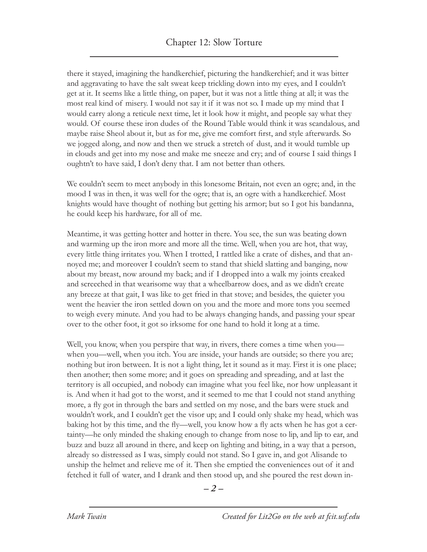there it stayed, imagining the handkerchief, picturing the handkerchief; and it was bitter and aggravating to have the salt sweat keep trickling down into my eyes, and I couldn't get at it. It seems like a little thing, on paper, but it was not a little thing at all; it was the most real kind of misery. I would not say it if it was not so. I made up my mind that I would carry along a reticule next time, let it look how it might, and people say what they would. Of course these iron dudes of the Round Table would think it was scandalous, and maybe raise Sheol about it, but as for me, give me comfort first, and style afterwards. So we jogged along, and now and then we struck a stretch of dust, and it would tumble up in clouds and get into my nose and make me sneeze and cry; and of course I said things I oughtn't to have said, I don't deny that. I am not better than others.

We couldn't seem to meet anybody in this lonesome Britain, not even an ogre; and, in the mood I was in then, it was well for the ogre; that is, an ogre with a handkerchief. Most knights would have thought of nothing but getting his armor; but so I got his bandanna, he could keep his hardware, for all of me.

Meantime, it was getting hotter and hotter in there. You see, the sun was beating down and warming up the iron more and more all the time. Well, when you are hot, that way, every little thing irritates you. When I trotted, I rattled like a crate of dishes, and that annoyed me; and moreover I couldn't seem to stand that shield slatting and banging, now about my breast, now around my back; and if I dropped into a walk my joints creaked and screeched in that wearisome way that a wheelbarrow does, and as we didn't create any breeze at that gait, I was like to get fried in that stove; and besides, the quieter you went the heavier the iron settled down on you and the more and more tons you seemed to weigh every minute. And you had to be always changing hands, and passing your spear over to the other foot, it got so irksome for one hand to hold it long at a time.

Well, you know, when you perspire that way, in rivers, there comes a time when you when you—well, when you itch. You are inside, your hands are outside; so there you are; nothing but iron between. It is not a light thing, let it sound as it may. First it is one place; then another; then some more; and it goes on spreading and spreading, and at last the territory is all occupied, and nobody can imagine what you feel like, nor how unpleasant it is. And when it had got to the worst, and it seemed to me that I could not stand anything more, a fly got in through the bars and settled on my nose, and the bars were stuck and wouldn't work, and I couldn't get the visor up; and I could only shake my head, which was baking hot by this time, and the fly—well, you know how a fly acts when he has got a certainty—he only minded the shaking enough to change from nose to lip, and lip to ear, and buzz and buzz all around in there, and keep on lighting and biting, in a way that a person, already so distressed as I was, simply could not stand. So I gave in, and got Alisande to unship the helmet and relieve me of it. Then she emptied the conveniences out of it and fetched it full of water, and I drank and then stood up, and she poured the rest down in